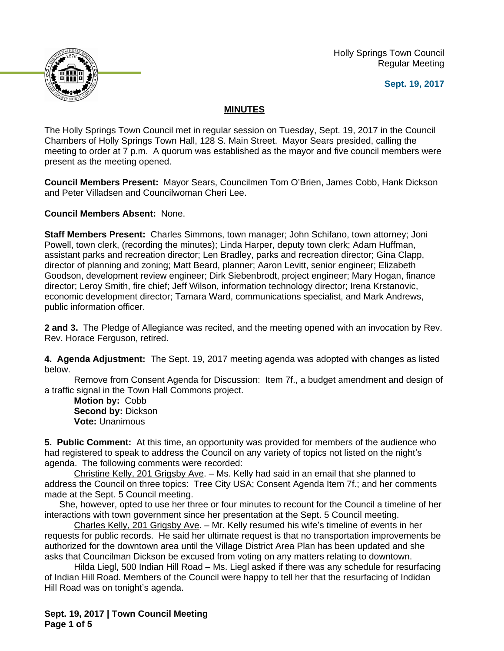Holly Springs Town Council Regular Meeting

**Sept. 19, 2017**



## **MINUTES**

The Holly Springs Town Council met in regular session on Tuesday, Sept. 19, 2017 in the Council Chambers of Holly Springs Town Hall, 128 S. Main Street. Mayor Sears presided, calling the meeting to order at 7 p.m. A quorum was established as the mayor and five council members were present as the meeting opened.

**Council Members Present:** Mayor Sears, Councilmen Tom O'Brien, James Cobb, Hank Dickson and Peter Villadsen and Councilwoman Cheri Lee.

**Council Members Absent:** None.

**Staff Members Present:** Charles Simmons, town manager; John Schifano, town attorney; Joni Powell, town clerk, (recording the minutes); Linda Harper, deputy town clerk; Adam Huffman, assistant parks and recreation director; Len Bradley, parks and recreation director; Gina Clapp, director of planning and zoning; Matt Beard, planner; Aaron Levitt, senior engineer; Elizabeth Goodson, development review engineer; Dirk Siebenbrodt, project engineer; Mary Hogan, finance director; Leroy Smith, fire chief; Jeff Wilson, information technology director; Irena Krstanovic, economic development director; Tamara Ward, communications specialist, and Mark Andrews, public information officer.

**2 and 3.** The Pledge of Allegiance was recited, and the meeting opened with an invocation by Rev. Rev. Horace Ferguson, retired.

**4. Agenda Adjustment:** The Sept. 19, 2017 meeting agenda was adopted with changes as listed below.

Remove from Consent Agenda for Discussion: Item 7f., a budget amendment and design of a traffic signal in the Town Hall Commons project.

**Motion by:** Cobb **Second by:** Dickson **Vote:** Unanimous

**5. Public Comment:** At this time, an opportunity was provided for members of the audience who had registered to speak to address the Council on any variety of topics not listed on the night's agenda. The following comments were recorded:

Christine Kelly, 201 Grigsby Ave. – Ms. Kelly had said in an email that she planned to address the Council on three topics: Tree City USA; Consent Agenda Item 7f.; and her comments made at the Sept. 5 Council meeting.

She, however, opted to use her three or four minutes to recount for the Council a timeline of her interactions with town government since her presentation at the Sept. 5 Council meeting.

Charles Kelly, 201 Grigsby Ave. – Mr. Kelly resumed his wife's timeline of events in her requests for public records. He said her ultimate request is that no transportation improvements be authorized for the downtown area until the Village District Area Plan has been updated and she asks that Councilman Dickson be excused from voting on any matters relating to downtown.

Hilda Liegl, 500 Indian Hill Road – Ms. Liegl asked if there was any schedule for resurfacing of Indian Hill Road. Members of the Council were happy to tell her that the resurfacing of Indidan Hill Road was on tonight's agenda.

**Sept. 19, 2017 | Town Council Meeting Page 1 of 5**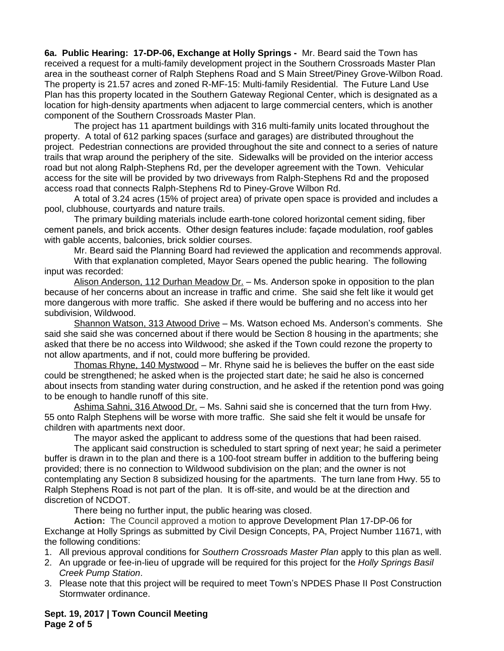**6a. Public Hearing: 17-DP-06, Exchange at Holly Springs -** Mr. Beard said the Town has received a request for a multi-family development project in the Southern Crossroads Master Plan area in the southeast corner of Ralph Stephens Road and S Main Street/Piney Grove-Wilbon Road. The property is 21.57 acres and zoned R-MF-15: Multi-family Residential. The Future Land Use Plan has this property located in the Southern Gateway Regional Center, which is designated as a location for high-density apartments when adjacent to large commercial centers, which is another component of the Southern Crossroads Master Plan.

The project has 11 apartment buildings with 316 multi-family units located throughout the property. A total of 612 parking spaces (surface and garages) are distributed throughout the project. Pedestrian connections are provided throughout the site and connect to a series of nature trails that wrap around the periphery of the site. Sidewalks will be provided on the interior access road but not along Ralph-Stephens Rd, per the developer agreement with the Town. Vehicular access for the site will be provided by two driveways from Ralph-Stephens Rd and the proposed access road that connects Ralph-Stephens Rd to Piney-Grove Wilbon Rd.

A total of 3.24 acres (15% of project area) of private open space is provided and includes a pool, clubhouse, courtyards and nature trails.

The primary building materials include earth-tone colored horizontal cement siding, fiber cement panels, and brick accents. Other design features include: façade modulation, roof gables with gable accents, balconies, brick soldier courses.

Mr. Beard said the Planning Board had reviewed the application and recommends approval.

With that explanation completed, Mayor Sears opened the public hearing. The following input was recorded:

Alison Anderson, 112 Durhan Meadow Dr. – Ms. Anderson spoke in opposition to the plan because of her concerns about an increase in traffic and crime. She said she felt like it would get more dangerous with more traffic. She asked if there would be buffering and no access into her subdivision, Wildwood.

Shannon Watson, 313 Atwood Drive – Ms. Watson echoed Ms. Anderson's comments. She said she said she was concerned about if there would be Section 8 housing in the apartments; she asked that there be no access into Wildwood; she asked if the Town could rezone the property to not allow apartments, and if not, could more buffering be provided.

Thomas Rhyne, 140 Mystwood – Mr. Rhyne said he is believes the buffer on the east side could be strengthened; he asked when is the projected start date; he said he also is concerned about insects from standing water during construction, and he asked if the retention pond was going to be enough to handle runoff of this site.

Ashima Sahni, 316 Atwood Dr. - Ms. Sahni said she is concerned that the turn from Hwy. 55 onto Ralph Stephens will be worse with more traffic. She said she felt it would be unsafe for children with apartments next door.

The mayor asked the applicant to address some of the questions that had been raised.

The applicant said construction is scheduled to start spring of next year; he said a perimeter buffer is drawn in to the plan and there is a 100-foot stream buffer in addition to the buffering being provided; there is no connection to Wildwood subdivision on the plan; and the owner is not contemplating any Section 8 subsidized housing for the apartments. The turn lane from Hwy. 55 to Ralph Stephens Road is not part of the plan. It is off-site, and would be at the direction and discretion of NCDOT.

There being no further input, the public hearing was closed.

**Action:** The Council approved a motion to approve Development Plan 17-DP-06 for Exchange at Holly Springs as submitted by Civil Design Concepts, PA, Project Number 11671, with the following conditions:

1. All previous approval conditions for *Southern Crossroads Master Plan* apply to this plan as well.

- 2. An upgrade or fee-in-lieu of upgrade will be required for this project for the *Holly Springs Basil Creek Pump Station*.
- 3. Please note that this project will be required to meet Town's NPDES Phase II Post Construction Stormwater ordinance.

**Sept. 19, 2017 | Town Council Meeting Page 2 of 5**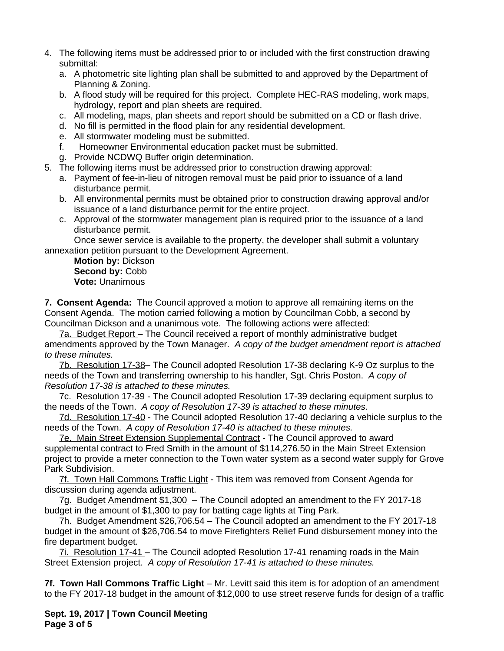- 4. The following items must be addressed prior to or included with the first construction drawing submittal:
	- a. A photometric site lighting plan shall be submitted to and approved by the Department of Planning & Zoning.
	- b. A flood study will be required for this project. Complete HEC-RAS modeling, work maps, hydrology, report and plan sheets are required.
	- c. All modeling, maps, plan sheets and report should be submitted on a CD or flash drive.
	- d. No fill is permitted in the flood plain for any residential development.
	- e. All stormwater modeling must be submitted.
	- f. Homeowner Environmental education packet must be submitted.
	- g. Provide NCDWQ Buffer origin determination.
- 5. The following items must be addressed prior to construction drawing approval:
	- a. Payment of fee-in-lieu of nitrogen removal must be paid prior to issuance of a land disturbance permit.
	- b. All environmental permits must be obtained prior to construction drawing approval and/or issuance of a land disturbance permit for the entire project.
	- c. Approval of the stormwater management plan is required prior to the issuance of a land disturbance permit.

Once sewer service is available to the property, the developer shall submit a voluntary annexation petition pursuant to the Development Agreement.

**Motion by:** Dickson Second by: Cobb **Vote:** Unanimous

**7. Consent Agenda:** The Council approved a motion to approve all remaining items on the Consent Agenda. The motion carried following a motion by Councilman Cobb, a second by Councilman Dickson and a unanimous vote. The following actions were affected:

7a. Budget Report – The Council received a report of monthly administrative budget amendments approved by the Town Manager. *A copy of the budget amendment report is attached to these minutes.*

7b. Resolution 17-38– The Council adopted Resolution 17-38 declaring K-9 Oz surplus to the needs of the Town and transferring ownership to his handler, Sgt. Chris Poston. *A copy of Resolution 17-38 is attached to these minutes.*

7c. Resolution 17-39 - The Council adopted Resolution 17-39 declaring equipment surplus to the needs of the Town. *A copy of Resolution 17-39 is attached to these minutes.*

7d. Resolution 17-40 - The Council adopted Resolution 17-40 declaring a vehicle surplus to the needs of the Town. *A copy of Resolution 17-40 is attached to these minutes.*

7e. Main Street Extension Supplemental Contract - The Council approved to award supplemental contract to Fred Smith in the amount of \$114,276.50 in the Main Street Extension project to provide a meter connection to the Town water system as a second water supply for Grove Park Subdivision.

7f. Town Hall Commons Traffic Light - This item was removed from Consent Agenda for discussion during agenda adjustment.

7g. Budget Amendment \$1,300 – The Council adopted an amendment to the FY 2017-18 budget in the amount of \$1,300 to pay for batting cage lights at Ting Park.

7h. Budget Amendment \$26,706.54 – The Council adopted an amendment to the FY 2017-18 budget in the amount of \$26,706.54 to move Firefighters Relief Fund disbursement money into the fire department budget.

7i. Resolution 17-41 – The Council adopted Resolution 17-41 renaming roads in the Main Street Extension project. *A copy of Resolution 17-41 is attached to these minutes.*

**7f. Town Hall Commons Traffic Light** – Mr. Levitt said this item is for adoption of an amendment to the FY 2017-18 budget in the amount of \$12,000 to use street reserve funds for design of a traffic

**Sept. 19, 2017 | Town Council Meeting Page 3 of 5**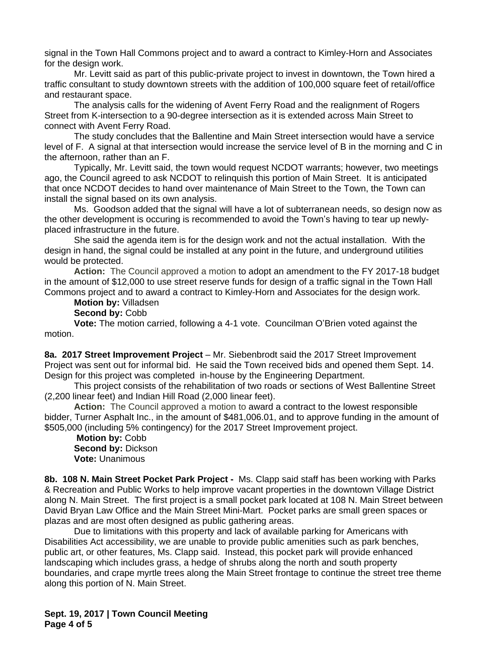signal in the Town Hall Commons project and to award a contract to Kimley-Horn and Associates for the design work.

Mr. Levitt said as part of this public-private project to invest in downtown, the Town hired a traffic consultant to study downtown streets with the addition of 100,000 square feet of retail/office and restaurant space.

The analysis calls for the widening of Avent Ferry Road and the realignment of Rogers Street from K-intersection to a 90-degree intersection as it is extended across Main Street to connect with Avent Ferry Road.

The study concludes that the Ballentine and Main Street intersection would have a service level of F. A signal at that intersection would increase the service level of B in the morning and C in the afternoon, rather than an F.

Typically, Mr. Levitt said, the town would request NCDOT warrants; however, two meetings ago, the Council agreed to ask NCDOT to relinquish this portion of Main Street. It is anticipated that once NCDOT decides to hand over maintenance of Main Street to the Town, the Town can install the signal based on its own analysis.

Ms. Goodson added that the signal will have a lot of subterranean needs, so design now as the other development is occuring is recommended to avoid the Town's having to tear up newlyplaced infrastructure in the future.

She said the agenda item is for the design work and not the actual installation. With the design in hand, the signal could be installed at any point in the future, and underground utilities would be protected.

**Action:** The Council approved a motion to adopt an amendment to the FY 2017-18 budget in the amount of \$12,000 to use street reserve funds for design of a traffic signal in the Town Hall Commons project and to award a contract to Kimley-Horn and Associates for the design work.

**Motion by:** Villadsen

**Second by:** Cobb

**Vote:** The motion carried, following a 4-1 vote. Councilman O'Brien voted against the motion.

**8a. 2017 Street Improvement Project** – Mr. Siebenbrodt said the 2017 Street Improvement Project was sent out for informal bid. He said the Town received bids and opened them Sept. 14. Design for this project was completed in-house by the Engineering Department.

This project consists of the rehabilitation of two roads or sections of West Ballentine Street (2,200 linear feet) and Indian Hill Road (2,000 linear feet).

**Action:** The Council approved a motion to award a contract to the lowest responsible bidder, Turner Asphalt Inc., in the amount of \$481,006.01, and to approve funding in the amount of \$505,000 (including 5% contingency) for the 2017 Street Improvement project.

**Motion by:** Cobb **Second by:** Dickson **Vote:** Unanimous

**8b. 108 N. Main Street Pocket Park Project -** Ms. Clapp said staff has been working with Parks & Recreation and Public Works to help improve vacant properties in the downtown Village District along N. Main Street. The first project is a small pocket park located at 108 N. Main Street between David Bryan Law Office and the Main Street Mini-Mart. Pocket parks are small green spaces or plazas and are most often designed as public gathering areas.

Due to limitations with this property and lack of available parking for Americans with Disabilities Act accessibility, we are unable to provide public amenities such as park benches, public art, or other features, Ms. Clapp said. Instead, this pocket park will provide enhanced landscaping which includes grass, a hedge of shrubs along the north and south property boundaries, and crape myrtle trees along the Main Street frontage to continue the street tree theme along this portion of N. Main Street.

**Sept. 19, 2017 | Town Council Meeting Page 4 of 5**